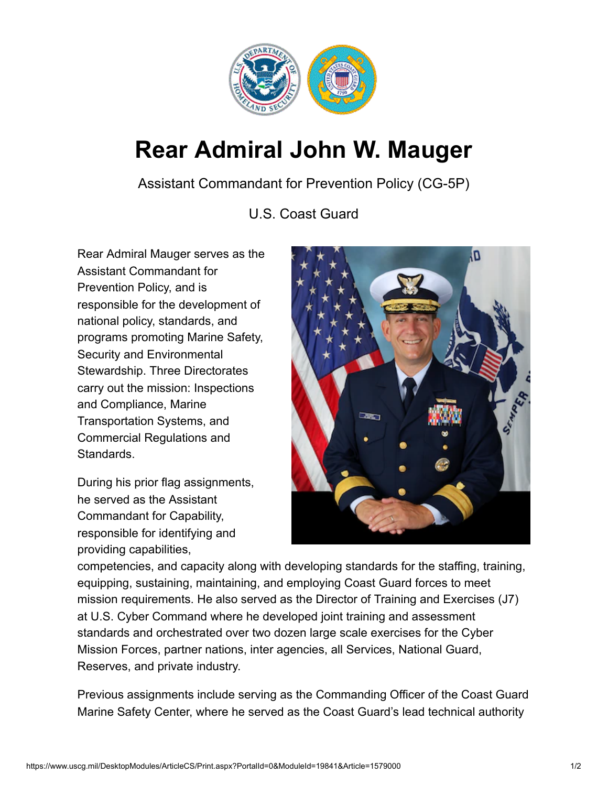

## **Rear Admiral John W. Mauger**

Assistant Commandant for Prevention Policy (CG-5P)

U.S. Coast Guard

Rear Admiral Mauger serves as the Assistant Commandant for Prevention Policy, and is responsible for the development of national policy, standards, and programs promoting Marine Safety, Security and Environmental Stewardship. Three Directorates carry out the mission: Inspections and Compliance, Marine Transportation Systems, and Commercial Regulations and Standards.

During his prior flag assignments, he served as the Assistant Commandant for Capability, responsible for identifying and providing capabilities,



competencies, and capacity along with developing standards for the staffing, training, equipping, sustaining, maintaining, and employing Coast Guard forces to meet mission requirements. He also served as the Director of Training and Exercises (J7) at U.S. Cyber Command where he developed joint training and assessment standards and orchestrated over two dozen large scale exercises for the Cyber Mission Forces, partner nations, inter agencies, all Services, National Guard, Reserves, and private industry.

Previous assignments include serving as the Commanding Officer of the Coast Guard Marine Safety Center, where he served as the Coast Guard's lead technical authority